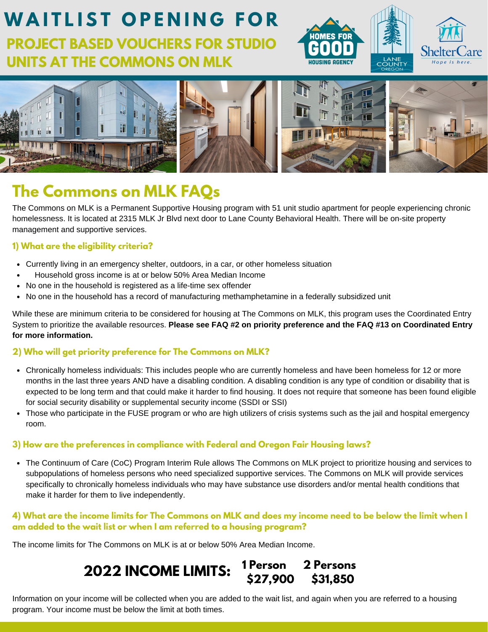



## **The Commons on MLK FAQs**

The Commons on MLK is a Permanent Supportive Housing program with 51 unit studio apartment for people experiencing chronic homelessness. It is located at 2315 MLK Jr Blvd next door to Lane County Behavioral Health. There will be on-site property management and supportive services.

### **1) What are the eligibility criteria?**

- Currently living in an emergency shelter, outdoors, in a car, or other homeless situation
- Household gross income is at or below 50% Area Median Income  $\bullet$
- No one in the household is registered as a life-time sex offender
- No one in the household has a record of manufacturing methamphetamine in a federally subsidized unit

While these are minimum criteria to be considered for housing at The Commons on MLK, this program uses the Coordinated Entry System to prioritize the available resources. **Please see FAQ #2 on priority preference and the FAQ #13 on Coordinated Entry for more information.**

### **2) Who will get priority preference for The Commons on MLK?**

- Chronically homeless individuals: This includes people who are currently homeless and have been homeless for 12 or more months in the last three years AND have a disabling condition. A disabling condition is any type of condition or disability that is expected to be long term and that could make it harder to find housing. It does not require that someone has been found eligible for social security disability or supplemental security income (SSDI or SSI)
- Those who participate in the FUSE program or who are high utilizers of crisis systems such as the jail and hospital emergency room.

#### **3) How are the preferences in compliance with Federal and Oregon Fair Housing laws?**

The Continuum of Care (CoC) Program Interim Rule allows The Commons on MLK project to prioritize housing and services to subpopulations of homeless persons who need specialized supportive services. The Commons on MLK will provide services specifically to chronically homeless individuals who may have substance use disorders and/or mental health conditions that make it harder for them to live independently.

#### 4) What are the income limits for The Commons on MLK and does my income need to be below the limit when I **am added to the wait list or when I am referred to a housing program?**

The income limits for The Commons on MLK is at or below 50% Area Median Income.

#### **2022 INCOME LIMITS: 1 Person 2 Persons \$27,900 \$31,850**

Information on your income will be collected when you are added to the wait list, and again when you are referred to a housing program. Your income must be below the limit at both times.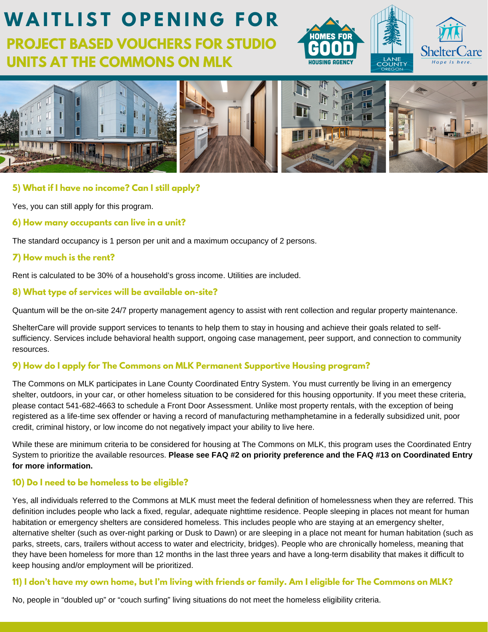



### **5) What if I have no income? Can I still apply?**

Yes, you can still apply for this program.

**6) How many occupants can live in a unit?**

The standard occupancy is 1 person per unit and a maximum occupancy of 2 persons.

#### **7) How much is the rent?**

Rent is calculated to be 30% of a household's gross income. Utilities are included.

#### **8) What type of services will be available on-site?**

Quantum will be the on-site 24/7 property management agency to assist with rent collection and regular property maintenance.

ShelterCare will provide support services to tenants to help them to stay in housing and achieve their goals related to selfsufficiency. Services include behavioral health support, ongoing case management, peer support, and connection to community resources.

#### **9) How do I apply for The Commons on MLK Permanent Supportive Housing program?**

The Commons on MLK participates in Lane County Coordinated Entry System. You must currently be living in an emergency shelter, outdoors, in your car, or other homeless situation to be considered for this housing opportunity. If you meet these criteria, please contact 541-682-4663 to schedule a Front Door Assessment. Unlike most property rentals, with the exception of being registered as a life-time sex offender or having a record of manufacturing methamphetamine in a federally subsidized unit, poor credit, criminal history, or low income do not negatively impact your ability to live here.

While these are minimum criteria to be considered for housing at The Commons on MLK, this program uses the Coordinated Entry System to prioritize the available resources. **Please see FAQ #2 on priority preference and the FAQ #13 on Coordinated Entry for more information.**

### **10) Do I need to be homeless to be eligible?**

Yes, all individuals referred to the Commons at MLK must meet the federal definition of homelessness when they are referred. This definition includes people who lack a fixed, regular, adequate nighttime residence. People sleeping in places not meant for human habitation or emergency shelters are considered homeless. This includes people who are staying at an emergency shelter, alternative shelter (such as over-night parking or Dusk to Dawn) or are sleeping in a place not meant for human habitation (such as parks, streets, cars, trailers without access to water and electricity, bridges). People who are chronically homeless, meaning that they have been homeless for more than 12 months in the last three years and have a long-term disability that makes it difficult to keep housing and/or employment will be prioritized.

#### 11) I don't have my own home, but I'm living with friends or family. Am I eligible for The Commons on MLK?

No, people in "doubled up" or "couch surfing" living situations do not meet the homeless eligibility criteria.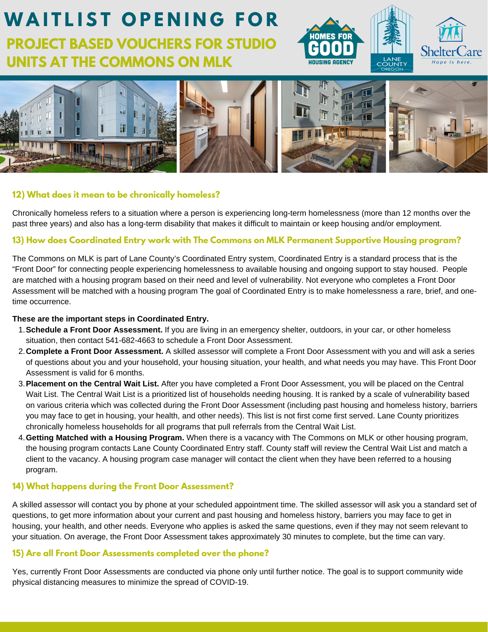



#### **12) What does it mean to be chronically homeless?**

Chronically homeless refers to a situation where a person is experiencing long-term homelessness (more than 12 months over the past three years) and also has a long-term disability that makes it difficult to maintain or keep housing and/or employment.

#### **13) How does Coordinated Entry work with The Commons on MLK Permanent Supportive Housing program?**

The Commons on MLK is part of Lane County's Coordinated Entry system, Coordinated Entry is a standard process that is the "Front Door" for connecting people experiencing homelessness to available housing and ongoing support to stay housed. People are matched with a housing program based on their need and level of vulnerability. Not everyone who completes a Front Door Assessment will be matched with a housing program The goal of Coordinated Entry is to make homelessness a rare, brief, and onetime occurrence.

#### **These are the important steps in Coordinated Entry.**

- **Schedule a Front Door Assessment.** If you are living in an emergency shelter, outdoors, in your car, or other homeless 1. situation, then contact 541-682-4663 to schedule a Front Door Assessment.
- **Complete a Front Door Assessment.** A skilled assessor will complete a Front Door Assessment with you and will ask a series 2. of questions about you and your household, your housing situation, your health, and what needs you may have. This Front Door Assessment is valid for 6 months.
- **Placement on the Central Wait List.** After you have completed a Front Door Assessment, you will be placed on the Central 3. Wait List. The Central Wait List is a prioritized list of households needing housing. It is ranked by a scale of vulnerability based on various criteria which was collected during the Front Door Assessment (including past housing and homeless history, barriers you may face to get in housing, your health, and other needs). This list is not first come first served. Lane County prioritizes chronically homeless households for all programs that pull referrals from the Central Wait List.
- **Getting Matched with a Housing Program.** When there is a vacancy with The Commons on MLK or other housing program, 4. the housing program contacts Lane County Coordinated Entry staff. County staff will review the Central Wait List and match a client to the vacancy. A housing program case manager will contact the client when they have been referred to a housing program.

### **14) What happens during the Front Door Assessment?**

A skilled assessor will contact you by phone at your scheduled appointment time. The skilled assessor will ask you a standard set of questions, to get more information about your current and past housing and homeless history, barriers you may face to get in housing, your health, and other needs. Everyone who applies is asked the same questions, even if they may not seem relevant to your situation. On average, the Front Door Assessment takes approximately 30 minutes to complete, but the time can vary.

#### **15) Are all Front Door Assessments completed over the phone?**

Yes, currently Front Door Assessments are conducted via phone only until further notice. The goal is to support community wide physical distancing measures to minimize the spread of COVID-19.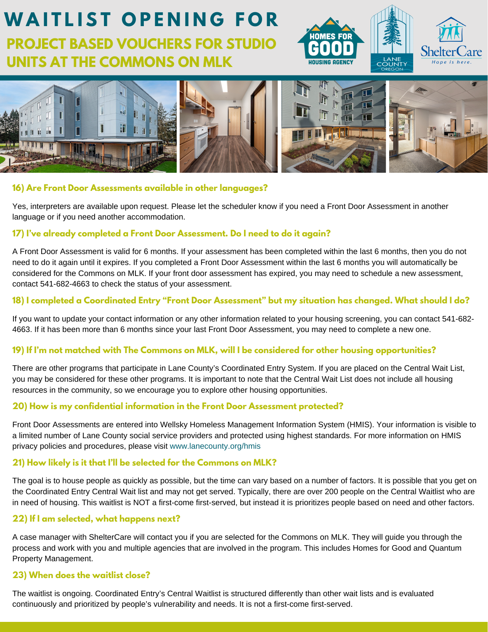





#### **16) Are Front Door Assessments available in other languages?**

Yes, interpreters are available upon request. Please let the scheduler know if you need a Front Door Assessment in another language or if you need another accommodation.

#### **17) I've already completed a Front Door Assessment. Do I need to do it again?**

A Front Door Assessment is valid for 6 months. If your assessment has been completed within the last 6 months, then you do not need to do it again until it expires. If you completed a Front Door Assessment within the last 6 months you will automatically be considered for the Commons on MLK. If your front door assessment has expired, you may need to schedule a new assessment, contact 541-682-4663 to check the status of your assessment.

### 18) I completed a Coordinated Entry "Front Door Assessment" but my situation has changed. What should I do?

If you want to update your contact information or any other information related to your housing screening, you can contact 541-682- 4663. If it has been more than 6 months since your last Front Door Assessment, you may need to complete a new one.

## 19) If I'm not matched with The Commons on MLK, will I be considered for other housing opportunities?

There are other programs that participate in Lane County's Coordinated Entry System. If you are placed on the Central Wait List, you may be considered for these other programs. It is important to note that the Central Wait List does not include all housing resources in the community, so we encourage you to explore other housing opportunities.

## **20) How is my confidential information in the Front Door Assessment protected?**

Front Door Assessments are entered into Wellsky Homeless Management Information System (HMIS). Your information is visible to a limited number of Lane County social service providers and protected using highest standards. For more information on HMIS privacy policies and procedures, please visit www.lanecounty.org/hmis

## **21) How likely is it that I'll be selected for the Commons on MLK?**

The goal is to house people as quickly as possible, but the time can vary based on a number of factors. It is possible that you get on the Coordinated Entry Central Wait list and may not get served. Typically, there are over 200 people on the Central Waitlist who are in need of housing. This waitlist is NOT a first-come first-served, but instead it is prioritizes people based on need and other factors.

## **22) If I am selected, what happens next?**

A case manager with ShelterCare will contact you if you are selected for the Commons on MLK. They will guide you through the process and work with you and multiple agencies that are involved in the program. This includes Homes for Good and Quantum Property Management.

## **23) When does the waitlist close?**

The waitlist is ongoing. Coordinated Entry's Central Waitlist is structured differently than other wait lists and is evaluated continuously and prioritized by people's vulnerability and needs. It is not a first-come first-served.